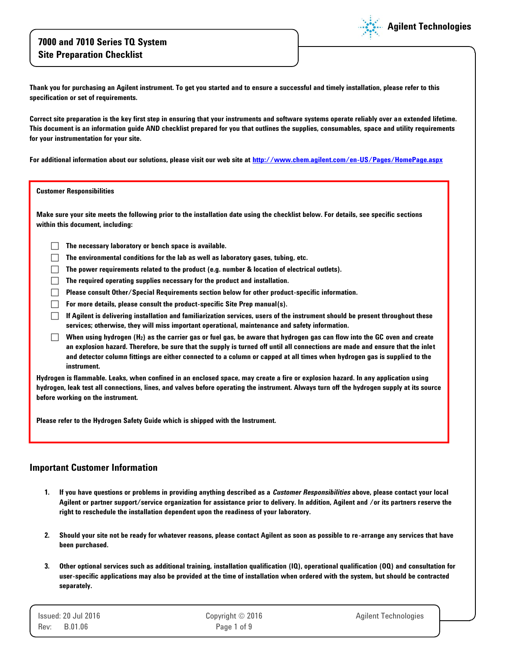**Thank you for purchasing an Agilent instrument. To get you started and to ensure a successful and timely installation, please refer to this specification or set of requirements.**

**Correct site preparation is the key first step in ensuring that your instruments and software systems operate reliably over an extended lifetime. This document is an information guide AND checklist prepared for you that outlines the supplies, consumables, space and utility requirements for your instrumentation for your site.** 

**For additional information about our solutions, please visit our web site at<http://www.chem.agilent.com/en-US/Pages/HomePage.aspx>**

#### **Customer Responsibilities**

**Make sure your site meets the following prior to the installation date using the checklist below. For details, see specific sections within this document, including:** 

- **The necessary laboratory or bench space is available.**
- **The environmental conditions for the lab as well as laboratory gases, tubing, etc.**
- **The power requirements related to the product (e.g. number & location of electrical outlets).**
- **The required operating supplies necessary for the product and installation.**
- **Please consult Other/Special Requirements section below for other product-specific information.**
- **For more details, please consult the product-specific Site Prep manual(s).**
- **If Agilent is delivering installation and familiarization services, users of the instrument should be present throughout these services; otherwise, they will miss important operational, maintenance and safety information.**
- **When using hydrogen (H2) as the carrier gas or fuel gas, be aware that hydrogen gas can flow into the GC oven and create an explosion hazard. Therefore, be sure that the supply is turned off until all connections are made and ensure that the inlet and detector column fittings are either connected to a column or capped at all times when hydrogen gas is supplied to the instrument.**

**Hydrogen is flammable. Leaks, when confined in an enclosed space, may create a fire or explosion hazard. In any application using hydrogen, leak test all connections, lines, and valves before operating the instrument. Always turn off the hydrogen supply at its source before working on the instrument.**

**Please refer to the Hydrogen Safety Guide which is shipped with the Instrument.**

### **Important Customer Information**

- **1. If you have questions or problems in providing anything described as a** *Customer Responsibilities* **above, please contact your local Agilent or partner support/service organization for assistance prior to delivery. In addition, Agilent and /or its partners reserve the right to reschedule the installation dependent upon the readiness of your laboratory.**
- **2. Should your site not be ready for whatever reasons, please contact Agilent as soon as possible to re-arrange any services that have been purchased.**
- **3. Other optional services such as additional training, installation qualification (IQ), operational qualification (OQ) and consultation for user-specific applications may also be provided at the time of installation when ordered with the system, but should be contracted separately.**

**Agilent Technologies**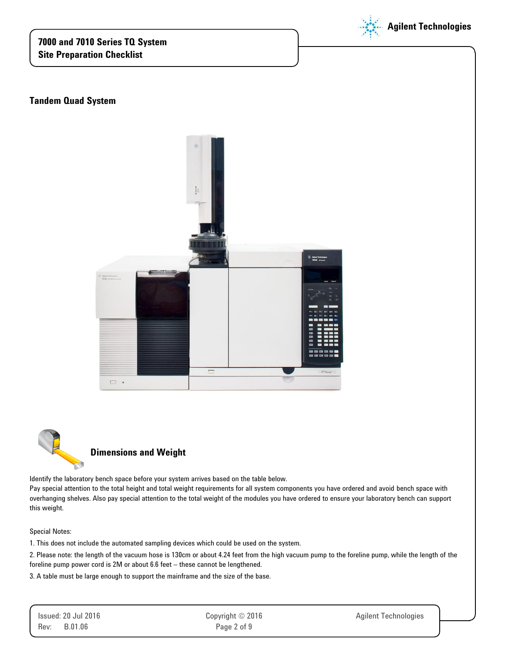

**Agilent Technologies**

### **Tandem Quad System**





## **Dimensions and Weight**

Identify the laboratory bench space before your system arrives based on the table below.

Pay special attention to the total height and total weight requirements for all system components you have ordered and avoid bench space with overhanging shelves. Also pay special attention to the total weight of the modules you have ordered to ensure your laboratory bench can support this weight.

Special Notes:

1. This does not include the automated sampling devices which could be used on the system.

2. Please note: the length of the vacuum hose is 130cm or about 4.24 feet from the high vacuum pump to the foreline pump, while the length of the foreline pump power cord is 2M or about 6.6 feet – these cannot be lengthened.

3. A table must be large enough to support the mainframe and the size of the base.

| <b>Issued: 20 Jul 2016</b> | Copyright $\odot$ 2016 | <b>Agilent Technologies</b> |
|----------------------------|------------------------|-----------------------------|
| Rev:<br>B.01.06            | Page 2 of 9            |                             |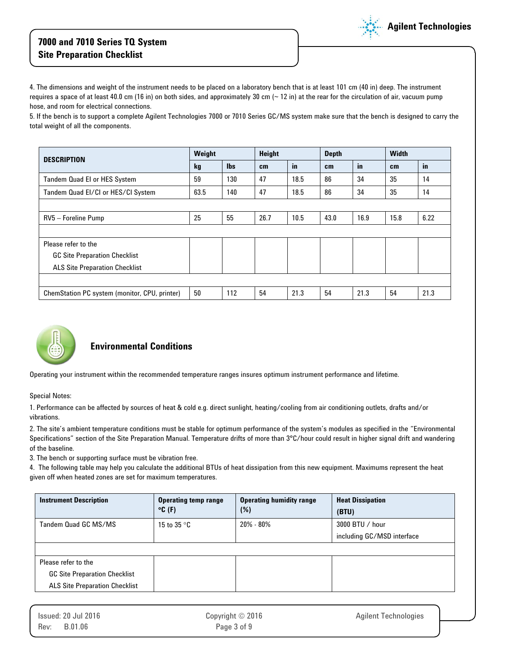4. The dimensions and weight of the instrument needs to be placed on a laboratory bench that is at least 101 cm (40 in) deep. The instrument requires a space of at least 40.0 cm (16 in) on both sides, and approximately 30 cm  $($   $\sim$  12 in) at the rear for the circulation of air, vacuum pump hose, and room for electrical connections.

5. If the bench is to support a complete Agilent Technologies 7000 or 7010 Series GC/MS system make sure that the bench is designed to carry the total weight of all the components.

**Agilent Technologies**

| <b>DESCRIPTION</b>                            | Weight |            | Height |      | <b>Depth</b> |      | <b>Width</b> |      |
|-----------------------------------------------|--------|------------|--------|------|--------------|------|--------------|------|
|                                               | kg     | <b>lbs</b> | cm     | in   | cm           | in   | cm           | in   |
| <b>Tandem Quad El or HES System</b>           | 59     | 130        | 47     | 18.5 | 86           | 34   | 35           | 14   |
| Tandem Quad EI/CI or HES/CI System            | 63.5   | 140        | 47     | 18.5 | 86           | 34   | 35           | 14   |
|                                               |        |            |        |      |              |      |              |      |
| RV5 - Foreline Pump                           | 25     | 55         | 26.7   | 10.5 | 43.0         | 16.9 | 15.8         | 6.22 |
|                                               |        |            |        |      |              |      |              |      |
| Please refer to the                           |        |            |        |      |              |      |              |      |
| <b>GC Site Preparation Checklist</b>          |        |            |        |      |              |      |              |      |
| <b>ALS Site Preparation Checklist</b>         |        |            |        |      |              |      |              |      |
|                                               |        |            |        |      |              |      |              |      |
| ChemStation PC system (monitor, CPU, printer) | 50     | 112        | 54     | 21.3 | 54           | 21.3 | 54           | 21.3 |



## **Environmental Conditions**

Operating your instrument within the recommended temperature ranges insures optimum instrument performance and lifetime.

Special Notes:

1. Performance can be affected by sources of heat & cold e.g. direct sunlight, heating/cooling from air conditioning outlets, drafts and/or vibrations.

2. The site's ambient temperature conditions must be stable for optimum performance of the system's modules as specified in the "Environmental Specifications" section of the Site Preparation Manual. Temperature drifts of more than 3°C/hour could result in higher signal drift and wandering of the baseline.

3. The bench or supporting surface must be vibration free.

4. The following table may help you calculate the additional BTUs of heat dissipation from this new equipment. Maximums represent the heat given off when heated zones are set for maximum temperatures.

| <b>Instrument Description</b>                                                                        | <b>Operating temp range</b><br>$^{\circ}$ C (F) | <b>Operating humidity range</b><br>(%) | <b>Heat Dissipation</b><br>(BTU)              |
|------------------------------------------------------------------------------------------------------|-------------------------------------------------|----------------------------------------|-----------------------------------------------|
| Tandem Quad GC MS/MS                                                                                 | 15 to 35 $\degree$ C                            | $20\% - 80\%$                          | 3000 BTU / hour<br>including GC/MSD interface |
| Please refer to the<br><b>GC Site Preparation Checklist</b><br><b>ALS Site Preparation Checklist</b> |                                                 |                                        |                                               |

|      | lssued: 20 Jul 2016 | Copyright $\odot$ 2016 | <b>Agilent Technologies</b> |
|------|---------------------|------------------------|-----------------------------|
| Rev: | B.01.06             | Page 3 of 9            |                             |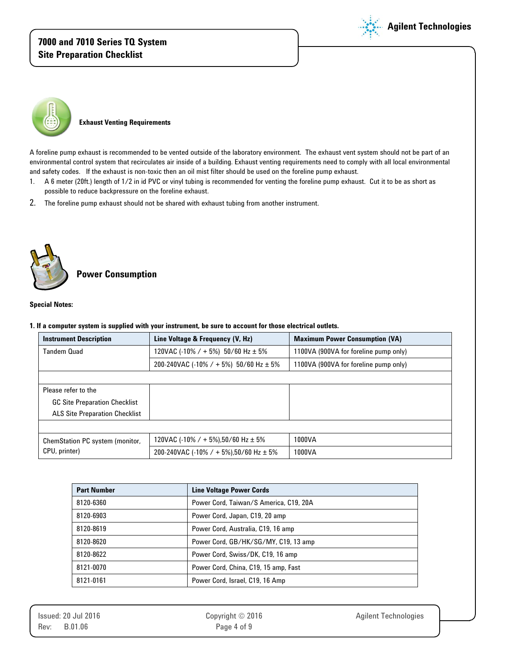



**Exhaust Venting Requirements** 

A foreline pump exhaust is recommended to be vented outside of the laboratory environment. The exhaust vent system should not be part of an environmental control system that recirculates air inside of a building. Exhaust venting requirements need to comply with all local environmental and safety codes. If the exhaust is non-toxic then an oil mist filter should be used on the foreline pump exhaust.

- 1. A 6 meter (20ft.) length of 1/2 in id PVC or vinyl tubing is recommended for venting the foreline pump exhaust. Cut it to be as short as possible to reduce backpressure on the foreline exhaust.
- 2. The foreline pump exhaust should not be shared with exhaust tubing from another instrument.



### **Power Consumption**

#### **Special Notes:**

**1. If a computer system is supplied with your instrument, be sure to account for those electrical outlets.**

| <b>Instrument Description</b>         | Line Voltage & Frequency (V, Hz)            | <b>Maximum Power Consumption (VA)</b> |
|---------------------------------------|---------------------------------------------|---------------------------------------|
| <b>Tandem Quad</b>                    | 120VAC (-10% / + 5%) 50/60 Hz $\pm$ 5%      | 1100VA (900VA for foreline pump only) |
|                                       | 200-240VAC (-10% / + 5%) 50/60 Hz $\pm$ 5%  | 1100VA (900VA for foreline pump only) |
|                                       |                                             |                                       |
| Please refer to the                   |                                             |                                       |
| <b>GC Site Preparation Checklist</b>  |                                             |                                       |
| <b>ALS Site Preparation Checklist</b> |                                             |                                       |
|                                       |                                             |                                       |
| ChemStation PC system (monitor,       | 120VAC (-10% / + 5%),50/60 Hz ± 5%          | 1000VA                                |
| CPU, printer)                         | 200-240VAC (-10% / + 5%), 50/60 Hz $\pm$ 5% | 1000VA                                |

| <b>Part Number</b> | <b>Line Voltage Power Cords</b>        |
|--------------------|----------------------------------------|
| 8120-6360          | Power Cord, Taiwan/S America, C19, 20A |
| 8120-6903          | Power Cord, Japan, C19, 20 amp         |
| 8120-8619          | Power Cord, Australia, C19, 16 amp     |
| 8120-8620          | Power Cord, GB/HK/SG/MY, C19, 13 amp   |
| 8120-8622          | Power Cord, Swiss/DK, C19, 16 amp      |
| 8121-0070          | Power Cord, China, C19, 15 amp, Fast   |
| 8121-0161          | Power Cord, Israel, C19, 16 Amp        |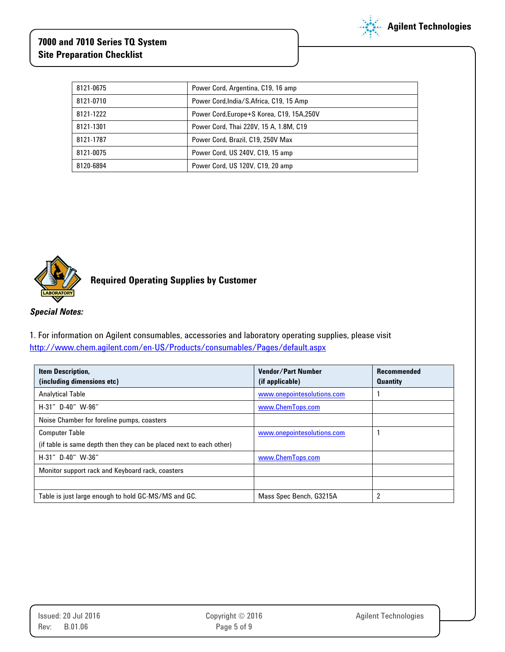

| 8121-0675 | Power Cord, Argentina, C19, 16 amp         |
|-----------|--------------------------------------------|
| 8121-0710 | Power Cord, India/S. Africa, C19, 15 Amp   |
| 8121-1222 | Power Cord, Europe+S Korea, C19, 15A, 250V |
| 8121-1301 | Power Cord, Thai 220V, 15 A, 1.8M, C19     |
| 8121-1787 | Power Cord, Brazil, C19, 250V Max          |
| 8121-0075 | Power Cord, US 240V, C19, 15 amp           |
| 8120-6894 | Power Cord, US 120V, C19, 20 amp           |



**Required Operating Supplies by Customer**

## *Special Notes:*

1. For information on Agilent consumables, accessories and laboratory operating supplies, please visit <http://www.chem.agilent.com/en-US/Products/consumables/Pages/default.aspx>

| Item Description,<br>(including dimensions etc)                     | <b>Vendor/Part Number</b><br>(if applicable) | <b>Recommended</b><br><b>Quantity</b> |
|---------------------------------------------------------------------|----------------------------------------------|---------------------------------------|
| <b>Analytical Table</b>                                             | www.onepointesolutions.com                   |                                       |
| H-31" D-40" W-96"                                                   | www.ChemTops.com                             |                                       |
| Noise Chamber for foreline pumps, coasters                          |                                              |                                       |
| <b>Computer Table</b>                                               | www.onepointesolutions.com                   |                                       |
| (if table is same depth then they can be placed next to each other) |                                              |                                       |
| H-31" D-40" W-36"                                                   | www.ChemTops.com                             |                                       |
| Monitor support rack and Keyboard rack, coasters                    |                                              |                                       |
|                                                                     |                                              |                                       |
| Table is just large enough to hold GC-MS/MS and GC.                 | Mass Spec Bench, G3215A                      |                                       |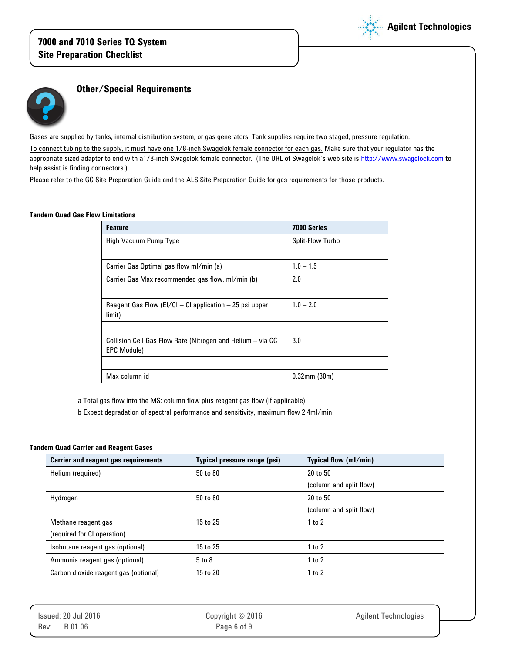



### **Other/Special Requirements**

Gases are supplied by tanks, internal distribution system, or gas generators. Tank supplies require two staged, pressure regulation.

To connect tubing to the supply, it must have one 1/8-inch Swagelok female connector for each gas. Make sure that your regulator has the appropriate sized adapter to end with a1/8-inch Swagelok female connector. (The URL of Swagelok's web site is [http://www.swagelock.com](http://www.swagelock.com/) to help assist is finding connectors.)

Please refer to the GC Site Preparation Guide and the ALS Site Preparation Guide for gas requirements for those products.

#### **Tandem Quad Gas Flow Limitations**

| <b>Feature</b>                                                                   | <b>7000 Series</b>      |
|----------------------------------------------------------------------------------|-------------------------|
| High Vacuum Pump Type                                                            | <b>Split-Flow Turbo</b> |
|                                                                                  |                         |
| Carrier Gas Optimal gas flow ml/min (a)                                          | $1.0 - 1.5$             |
| Carrier Gas Max recommended gas flow, ml/min (b)                                 | 2.0                     |
|                                                                                  |                         |
| Reagent Gas Flow (EI/CI – CI application $-25$ psi upper<br>limit)               | $1.0 - 2.0$             |
|                                                                                  |                         |
| Collision Cell Gas Flow Rate (Nitrogen and Helium - via CC<br><b>EPC Module)</b> | 3.0                     |
|                                                                                  |                         |
| Max column id                                                                    | $0.32$ mm $(30m)$       |

a Total gas flow into the MS: column flow plus reagent gas flow (if applicable)

b Expect degradation of spectral performance and sensitivity, maximum flow 2.4ml/min

#### **Tandem Quad Carrier and Reagent Gases**

| <b>Carrier and reagent gas requirements</b> | Typical pressure range (psi) | Typical flow (ml/min)   |
|---------------------------------------------|------------------------------|-------------------------|
| Helium (required)                           | 50 to 80                     | 20 to 50                |
|                                             |                              | (column and split flow) |
| Hydrogen                                    | 50 to 80                     | 20 to 50                |
|                                             |                              | (column and split flow) |
| Methane reagent gas                         | 15 to 25                     | $1$ to $2$              |
| (required for CI operation)                 |                              |                         |
| Isobutane reagent gas (optional)            | 15 to 25                     | $1$ to $2$              |
| Ammonia reagent gas (optional)              | $5$ to $8$                   | $1$ to $2$              |
| Carbon dioxide reagent gas (optional)       | 15 to 20                     | $1$ to $2$              |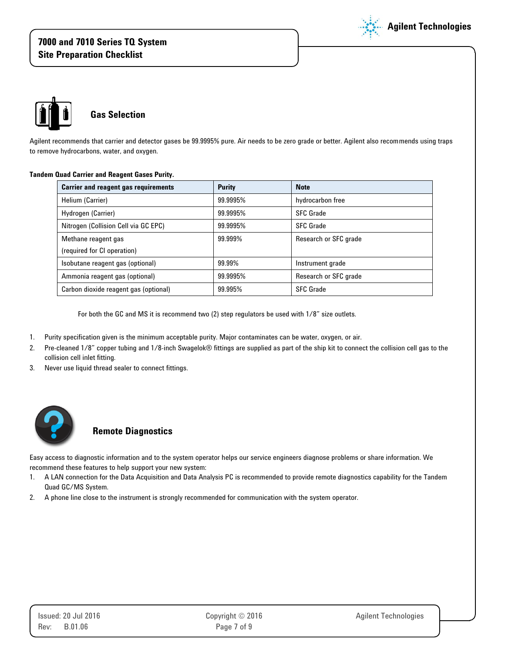



# **Gas Selection**

Agilent recommends that carrier and detector gases be 99.9995% pure. Air needs to be zero grade or better. Agilent also recommends using traps to remove hydrocarbons, water, and oxygen.

### **Tandem Quad Carrier and Reagent Gases Purity.**

| <b>Carrier and reagent gas requirements</b> | <b>Purity</b> | <b>Note</b>           |
|---------------------------------------------|---------------|-----------------------|
| Helium (Carrier)                            | 99.9995%      | hydrocarbon free      |
| Hydrogen (Carrier)                          | 99.9995%      | <b>SFC Grade</b>      |
| Nitrogen (Collision Cell via GC EPC)        | 99.9995%      | <b>SFC Grade</b>      |
| Methane reagent gas                         | 99.999%       | Research or SFC grade |
| (required for CI operation)                 |               |                       |
| Isobutane reagent gas (optional)            | 99.99%        | Instrument grade      |
| Ammonia reagent gas (optional)              | 99.9995%      | Research or SFC grade |
| Carbon dioxide reagent gas (optional)       | 99.995%       | <b>SFC Grade</b>      |

For both the GC and MS it is recommend two (2) step regulators be used with 1/8" size outlets.

- 1. Purity specification given is the minimum acceptable purity. Major contaminates can be water, oxygen, or air.
- 2. Pre-cleaned 1/8" copper tubing and 1/8-inch Swagelok® fittings are supplied as part of the ship kit to connect the collision cell gas to the collision cell inlet fitting.
- 3. Never use liquid thread sealer to connect fittings.



## **Remote Diagnostics**

Easy access to diagnostic information and to the system operator helps our service engineers diagnose problems or share information. We recommend these features to help support your new system:

- 1. A LAN connection for the Data Acquisition and Data Analysis PC is recommended to provide remote diagnostics capability for the Tandem Quad GC/MS System.
- 2. A phone line close to the instrument is strongly recommended for communication with the system operator.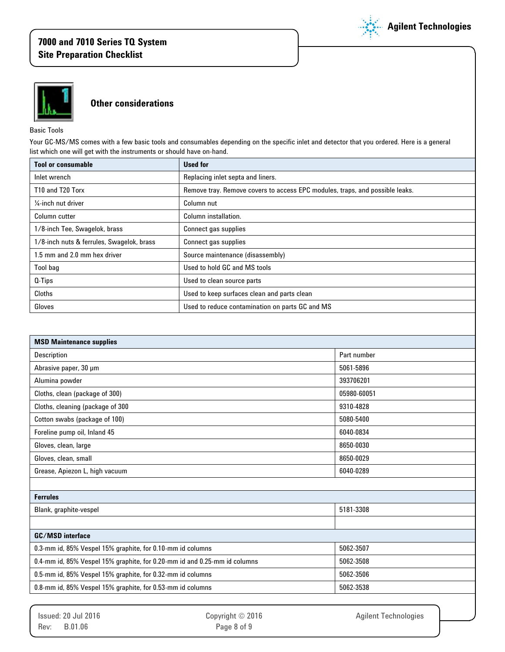



### **Other considerations**

Basic Tools

Your GC-MS/MS comes with a few basic tools and consumables depending on the specific inlet and detector that you ordered. Here is a general list which one will get with the instruments or should have on-hand.

| <b>Tool or consumable</b>                 | <b>Used for</b>                                                              |
|-------------------------------------------|------------------------------------------------------------------------------|
| Inlet wrench                              | Replacing inlet septa and liners.                                            |
| T <sub>10</sub> and T <sub>20</sub> Torx  | Remove tray. Remove covers to access EPC modules, traps, and possible leaks. |
| $\frac{1}{4}$ -inch nut driver            | Column nut                                                                   |
| Column cutter                             | Column installation.                                                         |
| 1/8-inch Tee, Swagelok, brass             | Connect gas supplies                                                         |
| 1/8-inch nuts & ferrules, Swagelok, brass | Connect gas supplies                                                         |
| 1.5 mm and 2.0 mm hex driver              | Source maintenance (disassembly)                                             |
| Tool bag                                  | Used to hold GC and MS tools                                                 |
| 0-Tips                                    | Used to clean source parts                                                   |
| <b>Cloths</b>                             | Used to keep surfaces clean and parts clean                                  |
| Gloves                                    | Used to reduce contamination on parts GC and MS                              |

| <b>MSD Maintenance supplies</b>                                           |             |  |
|---------------------------------------------------------------------------|-------------|--|
| <b>Description</b>                                                        | Part number |  |
| Abrasive paper, 30 µm                                                     | 5061-5896   |  |
| Alumina powder                                                            | 393706201   |  |
| Cloths, clean (package of 300)                                            | 05980-60051 |  |
| Cloths, cleaning (package of 300                                          | 9310-4828   |  |
| Cotton swabs (package of 100)                                             | 5080-5400   |  |
| Foreline pump oil, Inland 45                                              | 6040-0834   |  |
| Gloves, clean, large                                                      | 8650-0030   |  |
| Gloves, clean, small                                                      | 8650-0029   |  |
| Grease, Apiezon L, high vacuum                                            | 6040-0289   |  |
|                                                                           |             |  |
| <b>Ferrules</b>                                                           |             |  |
| Blank, graphite-vespel                                                    | 5181-3308   |  |
|                                                                           |             |  |
| <b>GC/MSD</b> interface                                                   |             |  |
| 0.3-mm id, 85% Vespel 15% graphite, for 0.10-mm id columns                | 5062-3507   |  |
| 0.4-mm id, 85% Vespel 15% graphite, for 0.20-mm id and 0.25-mm id columns | 5062-3508   |  |
| 0.5-mm id, 85% Vespel 15% graphite, for 0.32-mm id columns                | 5062-3506   |  |
| 0.8-mm id, 85% Vespel 15% graphite, for 0.53-mm id columns                | 5062-3538   |  |
|                                                                           |             |  |

Issued: 20 Jul 2016 **Copyright C** 2016 Copyright C 2016 Agilent Technologies Rev: B.01.06 Page 8 of 9